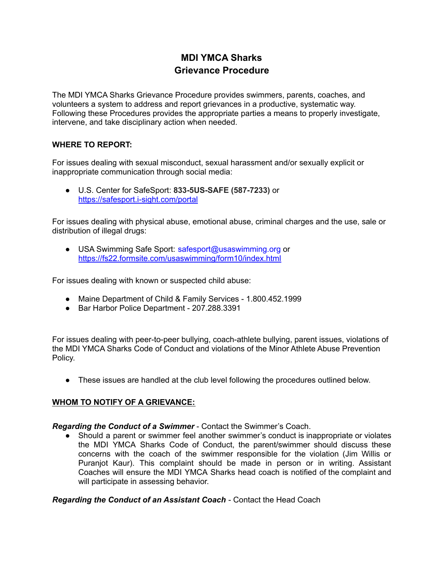# **MDI YMCA Sharks Grievance Procedure**

The MDI YMCA Sharks Grievance Procedure provides swimmers, parents, coaches, and volunteers a system to address and report grievances in a productive, systematic way. Following these Procedures provides the appropriate parties a means to properly investigate, intervene, and take disciplinary action when needed.

# **WHERE TO REPORT:**

For issues dealing with sexual misconduct, sexual harassment and/or sexually explicit or inappropriate communication through social media:

● U.S. Center for SafeSport: **833-5US-SAFE (587-7233)** o[r](https://safesport.i-sight.com/portal) <https://safesport.i-sight.com/portal>

For issues dealing with physical abuse, emotional abuse, criminal charges and the use, sale or distribution of illegal drugs:

● USA Swimming Safe Spo[r](https://fs22.formsite.com/usaswimming/form10/index.html)t: safesport@usaswimming.org or <https://fs22.formsite.com/usaswimming/form10/index.html>

For issues dealing with known or suspected child abuse:

- Maine Department of Child & Family Services 1.800.452.1999
- Bar Harbor Police Department 207,288,3391

For issues dealing with peer-to-peer bullying, coach-athlete bullying, parent issues, violations of the MDI YMCA Sharks Code of Conduct and violations of the Minor Athlete Abuse Prevention Policy.

● These issues are handled at the club level following the procedures outlined below.

# **WHOM TO NOTIFY OF A GRIEVANCE:**

# *Regarding the Conduct of a Swimmer* - Contact the Swimmer's Coach.

● Should a parent or swimmer feel another swimmer's conduct is inappropriate or violates the MDI YMCA Sharks Code of Conduct, the parent/swimmer should discuss these concerns with the coach of the swimmer responsible for the violation (Jim Willis or Puranjot Kaur). This complaint should be made in person or in writing. Assistant Coaches will ensure the MDI YMCA Sharks head coach is notified of the complaint and will participate in assessing behavior.

*Regarding the Conduct of an Assistant Coach* - Contact the Head Coach